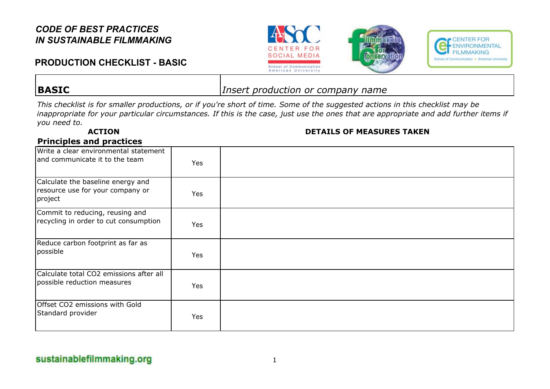# **PRODUCTION CHECKLIST - BASIC**







**BASIC** *Insert production or company name*

*This checklist is for smaller productions, or if you're short of time. Some of the suggested actions in this checklist may be inappropriate for your particular circumstances. If this is the case, just use the ones that are appropriate and add further items if you need to.*

#### **ACTION DETAILS OF MEASURES TAKEN**

#### **Principles and practices**

| Write a clear environmental statement<br>and communicate it to the team          | Yes        |  |
|----------------------------------------------------------------------------------|------------|--|
| Calculate the baseline energy and<br>resource use for your company or<br>project | <b>Yes</b> |  |
| Commit to reducing, reusing and<br>recycling in order to cut consumption         | Yes        |  |
| Reduce carbon footprint as far as<br>possible                                    | Yes        |  |
| Calculate total CO2 emissions after all<br>possible reduction measures           | Yes        |  |
| Offset CO2 emissions with Gold<br>Standard provider                              | Yes        |  |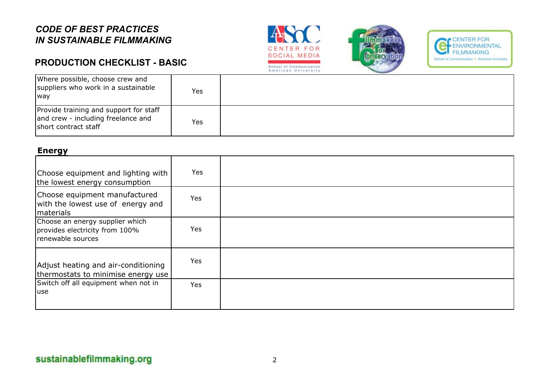# **PRODUCTION CHECKLIST - BASIC**







| Where possible, choose crew and<br>suppliers who work in a sustainable<br><b>Iway</b>                | Yes  |  |
|------------------------------------------------------------------------------------------------------|------|--|
| Provide training and support for staff<br>and crew - including freelance and<br>short contract staff | Yes. |  |

#### **Energy**

| Choose equipment and lighting with<br>the lowest energy consumption                      | Yes        |  |
|------------------------------------------------------------------------------------------|------------|--|
| Choose equipment manufactured<br>with the lowest use of energy and<br><i>I</i> materials | <b>Yes</b> |  |
| Choose an energy supplier which<br>provides electricity from 100%<br>renewable sources   | Yes        |  |
| Adjust heating and air-conditioning<br>thermostats to minimise energy use                | Yes        |  |
| Switch off all equipment when not in<br>luse                                             | Yes        |  |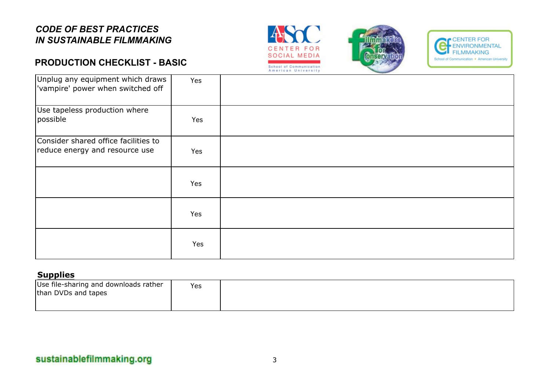### **PRODUCTION CHECKLIST - BASIC**







| Unplug any equipment which draws<br>vampire' power when switched off   | Yes |  |
|------------------------------------------------------------------------|-----|--|
| Use tapeless production where<br>possible                              | Yes |  |
| Consider shared office facilities to<br>reduce energy and resource use | Yes |  |
|                                                                        | Yes |  |
|                                                                        | Yes |  |
|                                                                        | Yes |  |

#### **Supplies**

| Use file-sharing and downloads rather<br>than DVDs and tapes | Yes |  |
|--------------------------------------------------------------|-----|--|
|--------------------------------------------------------------|-----|--|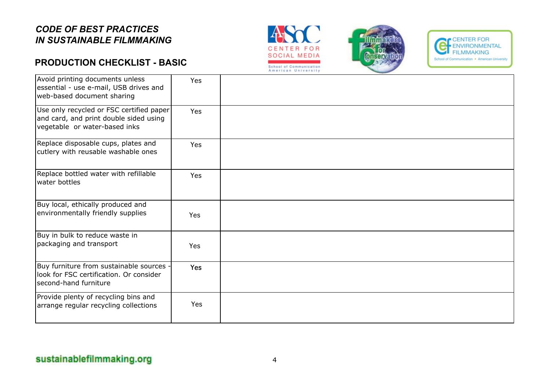### **PRODUCTION CHECKLIST - BASIC**







| Avoid printing documents unless<br>essential - use e-mail, USB drives and<br>web-based document sharing             | Yes        |  |
|---------------------------------------------------------------------------------------------------------------------|------------|--|
| Use only recycled or FSC certified paper<br>and card, and print double sided using<br>vegetable or water-based inks | Yes        |  |
| Replace disposable cups, plates and<br>cutlery with reusable washable ones                                          | Yes        |  |
| Replace bottled water with refillable<br>water bottles                                                              | <b>Yes</b> |  |
| Buy local, ethically produced and<br>environmentally friendly supplies                                              | Yes        |  |
| Buy in bulk to reduce waste in<br>packaging and transport                                                           | Yes        |  |
| Buy furniture from sustainable sources -<br>look for FSC certification. Or consider<br>second-hand furniture        | Yes        |  |
| Provide plenty of recycling bins and<br>arrange regular recycling collections                                       | Yes        |  |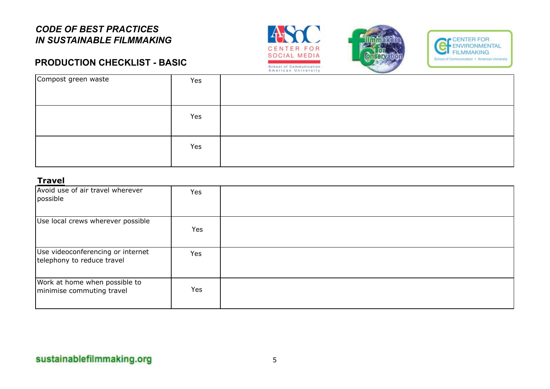# **PRODUCTION CHECKLIST - BASIC**







| Compost green waste | Yes |  |
|---------------------|-----|--|
|                     | Yes |  |
|                     | Yes |  |

#### **Travel**

| Avoid use of air travel wherever<br>possible                    | Yes |  |
|-----------------------------------------------------------------|-----|--|
| Use local crews wherever possible                               | Yes |  |
| Use videoconferencing or internet<br>telephony to reduce travel | Yes |  |
| Work at home when possible to<br>minimise commuting travel      | Yes |  |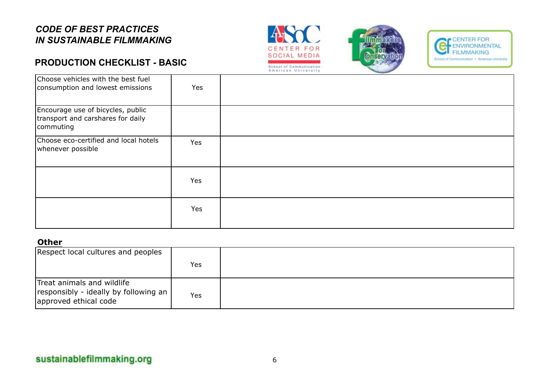## **PRODUCTION CHECKLIST - BASIC**







| Choose vehicles with the best fuel<br>consumption and lowest emissions              | Yes |  |
|-------------------------------------------------------------------------------------|-----|--|
| Encourage use of bicycles, public<br>transport and carshares for daily<br>commuting |     |  |
| Choose eco-certified and local hotels<br>whenever possible                          | Yes |  |
|                                                                                     | Yes |  |
|                                                                                     | Yes |  |

#### **Other**

| Respect local cultures and peoples                                                           |     |  |
|----------------------------------------------------------------------------------------------|-----|--|
|                                                                                              | Yes |  |
| Treat animals and wildlife<br>responsibly - ideally by following an<br>approved ethical code | Yes |  |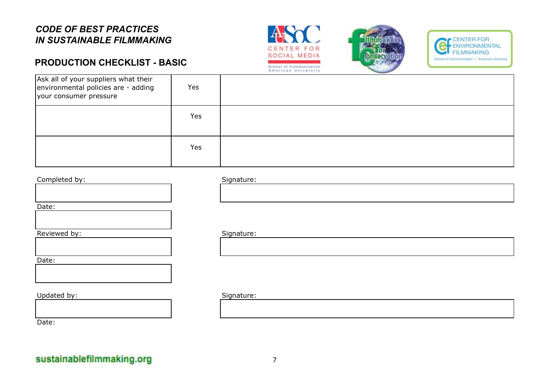#### **PRODUCTION CHECKLIST - BASIC**







| Ask all of your suppliers what their<br>environmental policies are - adding<br>your consumer pressure | Yes        |  |
|-------------------------------------------------------------------------------------------------------|------------|--|
|                                                                                                       | <b>Yes</b> |  |
|                                                                                                       | <b>Yes</b> |  |







Date:

#### Updated by: Signature:

Date: